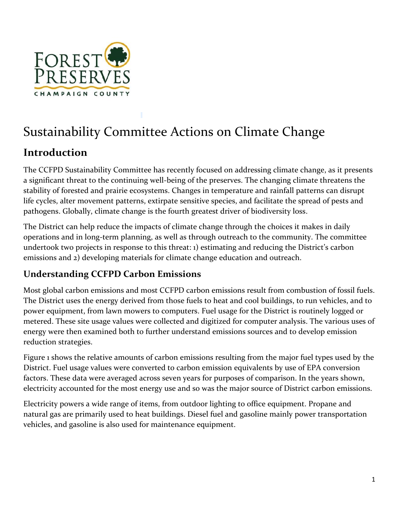

# Sustainability Committee Actions on Climate Change

## **Introduction**

The CCFPD Sustainability Committee has recently focused on addressing climate change, as it presents a significant threat to the continuing well-being of the preserves. The changing climate threatens the stability of forested and prairie ecosystems. Changes in temperature and rainfall patterns can disrupt life cycles, alter movement patterns, extirpate sensitive species, and facilitate the spread of pests and pathogens. Globally, climate change is the fourth greatest driver of biodiversity loss.

The District can help reduce the impacts of climate change through the choices it makes in daily operations and in long-term planning, as well as through outreach to the community. The committee undertook two projects in response to this threat: 1) estimating and reducing the District's carbon emissions and 2) developing materials for climate change education and outreach.

### **Understanding CCFPD Carbon Emissions**

Most global carbon emissions and most CCFPD carbon emissions result from combustion of fossil fuels. The District uses the energy derived from those fuels to heat and cool buildings, to run vehicles, and to power equipment, from lawn mowers to computers. Fuel usage for the District is routinely logged or metered. These site usage values were collected and digitized for computer analysis. The various uses of energy were then examined both to further understand emissions sources and to develop emission reduction strategies.

Figure 1 shows the relative amounts of carbon emissions resulting from the major fuel types used by the District. Fuel usage values were converted to carbon emission equivalents by use of EPA conversion factors. These data were averaged across seven years for purposes of comparison. In the years shown, electricity accounted for the most energy use and so was the major source of District carbon emissions.

Electricity powers a wide range of items, from outdoor lighting to office equipment. Propane and natural gas are primarily used to heat buildings. Diesel fuel and gasoline mainly power transportation vehicles, and gasoline is also used for maintenance equipment.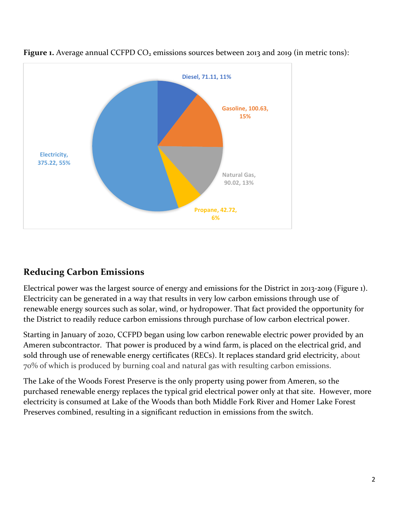

**Figure 1.** Average annual CCFPD CO<sub>2</sub> emissions sources between 2013 and 2019 (in metric tons):

#### **Reducing Carbon Emissions**

Electrical power was the largest source of energy and emissions for the District in 2013-2019 (Figure 1). Electricity can be generated in a way that results in very low carbon emissions through use of renewable energy sources such as solar, wind, or hydropower. That fact provided the opportunity for the District to readily reduce carbon emissions through purchase of low carbon electrical power.

Starting in January of 2020, CCFPD began using low carbon renewable electric power provided by an Ameren subcontractor. That power is produced by a wind farm, is placed on the electrical grid, and sold through use of renewable energy certificates (RECs). It replaces standard grid electricity, about 70% of which is produced by burning coal and natural gas with resulting carbon emissions.

The Lake of the Woods Forest Preserve is the only property using power from Ameren, so the purchased renewable energy replaces the typical grid electrical power only at that site. However, more electricity is consumed at Lake of the Woods than both Middle Fork River and Homer Lake Forest Preserves combined, resulting in a significant reduction in emissions from the switch.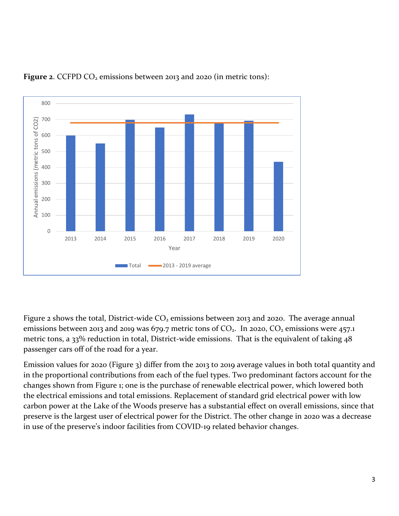

**Figure 2.** CCFPD CO<sub>2</sub> emissions between 2013 and 2020 (in metric tons):

Figure 2 shows the total, District-wide  $CO<sub>2</sub>$  emissions between 2013 and 2020. The average annual emissions between 2013 and 2019 was 679.7 metric tons of  $CO<sub>2</sub>$ . In 2020,  $CO<sub>2</sub>$  emissions were 457.1 metric tons, a 33% reduction in total, District-wide emissions. That is the equivalent of taking 48 passenger cars off of the road for a year.

Emission values for 2020 (Figure 3) differ from the 2013 to 2019 average values in both total quantity and in the proportional contributions from each of the fuel types. Two predominant factors account for the changes shown from Figure 1; one is the purchase of renewable electrical power, which lowered both the electrical emissions and total emissions. Replacement of standard grid electrical power with low carbon power at the Lake of the Woods preserve has a substantial effect on overall emissions, since that preserve is the largest user of electrical power for the District. The other change in 2020 was a decrease in use of the preserve's indoor facilities from COVID-19 related behavior changes.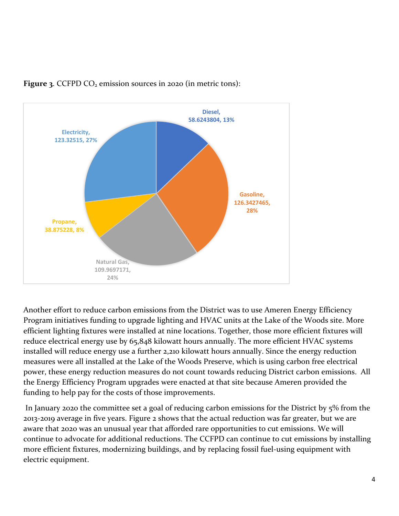

**Figure 3.** CCFPD CO<sub>2</sub> emission sources in 2020 (in metric tons):

Another effort to reduce carbon emissions from the District was to use Ameren Energy Efficiency Program initiatives funding to upgrade lighting and HVAC units at the Lake of the Woods site. More efficient lighting fixtures were installed at nine locations. Together, those more efficient fixtures will reduce electrical energy use by 65,848 kilowatt hours annually. The more efficient HVAC systems installed will reduce energy use a further 2,210 kilowatt hours annually. Since the energy reduction measures were all installed at the Lake of the Woods Preserve, which is using carbon free electrical power, these energy reduction measures do not count towards reducing District carbon emissions. All the Energy Efficiency Program upgrades were enacted at that site because Ameren provided the funding to help pay for the costs of those improvements.

In January 2020 the committee set a goal of reducing carbon emissions for the District by 5% from the 2013-2019 average in five years. Figure 2 shows that the actual reduction was far greater, but we are aware that 2020 was an unusual year that afforded rare opportunities to cut emissions. We will continue to advocate for additional reductions. The CCFPD can continue to cut emissions by installing more efficient fixtures, modernizing buildings, and by replacing fossil fuel-using equipment with electric equipment.